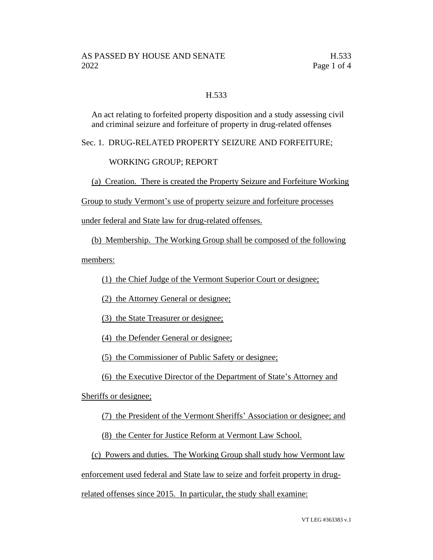## H.533

An act relating to forfeited property disposition and a study assessing civil and criminal seizure and forfeiture of property in drug-related offenses

Sec. 1. DRUG-RELATED PROPERTY SEIZURE AND FORFEITURE;

## WORKING GROUP; REPORT

(a) Creation. There is created the Property Seizure and Forfeiture Working

Group to study Vermont's use of property seizure and forfeiture processes

under federal and State law for drug-related offenses.

(b) Membership. The Working Group shall be composed of the following

members:

(1) the Chief Judge of the Vermont Superior Court or designee;

(2) the Attorney General or designee;

(3) the State Treasurer or designee;

(4) the Defender General or designee;

(5) the Commissioner of Public Safety or designee;

(6) the Executive Director of the Department of State's Attorney and

Sheriffs or designee;

(7) the President of the Vermont Sheriffs' Association or designee; and

(8) the Center for Justice Reform at Vermont Law School.

(c) Powers and duties. The Working Group shall study how Vermont law

enforcement used federal and State law to seize and forfeit property in drug-

related offenses since 2015. In particular, the study shall examine: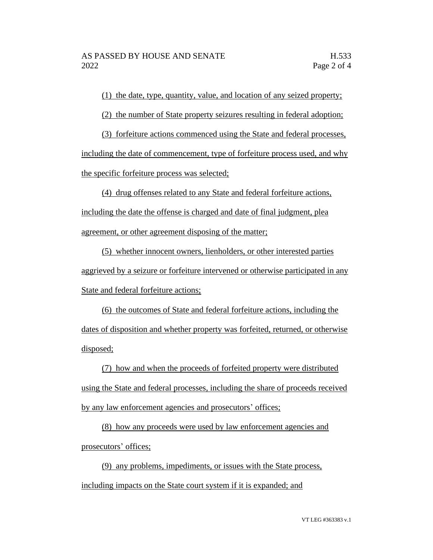(1) the date, type, quantity, value, and location of any seized property;

(2) the number of State property seizures resulting in federal adoption;

(3) forfeiture actions commenced using the State and federal processes, including the date of commencement, type of forfeiture process used, and why the specific forfeiture process was selected;

(4) drug offenses related to any State and federal forfeiture actions, including the date the offense is charged and date of final judgment, plea agreement, or other agreement disposing of the matter;

(5) whether innocent owners, lienholders, or other interested parties aggrieved by a seizure or forfeiture intervened or otherwise participated in any State and federal forfeiture actions;

(6) the outcomes of State and federal forfeiture actions, including the dates of disposition and whether property was forfeited, returned, or otherwise disposed;

(7) how and when the proceeds of forfeited property were distributed using the State and federal processes, including the share of proceeds received by any law enforcement agencies and prosecutors' offices;

(8) how any proceeds were used by law enforcement agencies and prosecutors' offices;

(9) any problems, impediments, or issues with the State process, including impacts on the State court system if it is expanded; and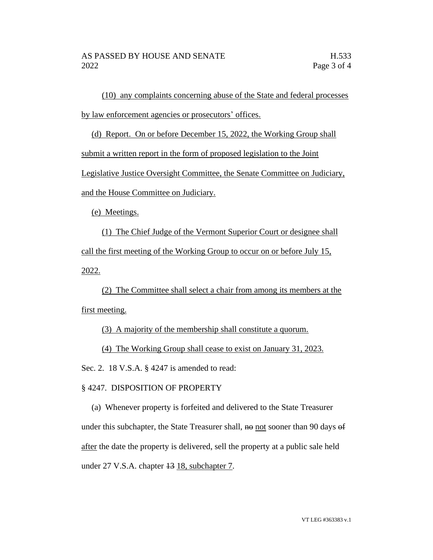(10) any complaints concerning abuse of the State and federal processes by law enforcement agencies or prosecutors' offices.

(d) Report. On or before December 15, 2022, the Working Group shall

submit a written report in the form of proposed legislation to the Joint

Legislative Justice Oversight Committee, the Senate Committee on Judiciary,

and the House Committee on Judiciary.

(e) Meetings.

(1) The Chief Judge of the Vermont Superior Court or designee shall call the first meeting of the Working Group to occur on or before July 15, 2022.

(2) The Committee shall select a chair from among its members at the first meeting.

(3) A majority of the membership shall constitute a quorum.

(4) The Working Group shall cease to exist on January 31, 2023.

Sec. 2. 18 V.S.A. § 4247 is amended to read:

## § 4247. DISPOSITION OF PROPERTY

(a) Whenever property is forfeited and delivered to the State Treasurer under this subchapter, the State Treasurer shall,  $\theta$  not sooner than 90 days  $\theta$ after the date the property is delivered, sell the property at a public sale held under 27 V.S.A. chapter <del>13</del> 18, subchapter 7.